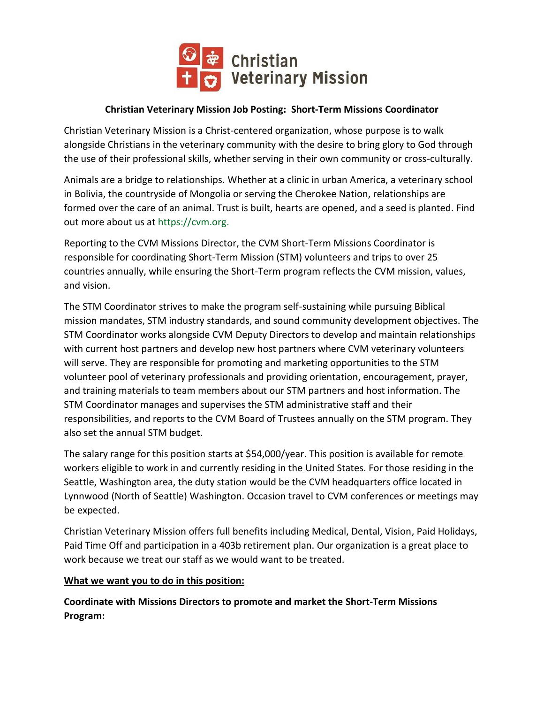

# **Christian Veterinary Mission Job Posting: Short-Term Missions Coordinator**

Christian Veterinary Mission is a Christ-centered organization, whose purpose is to walk alongside Christians in the veterinary community with the desire to bring glory to God through the use of their professional skills, whether serving in their own community or cross-culturally.

Animals are a bridge to relationships. Whether at a clinic in urban America, a veterinary school in Bolivia, the countryside of Mongolia or serving the Cherokee Nation, relationships are formed over the care of an animal. Trust is built, hearts are opened, and a seed is planted. Find out more about us at https://cvm.org.

Reporting to the CVM Missions Director, the CVM Short-Term Missions Coordinator is responsible for coordinating Short-Term Mission (STM) volunteers and trips to over 25 countries annually, while ensuring the Short-Term program reflects the CVM mission, values, and vision.

The STM Coordinator strives to make the program self-sustaining while pursuing Biblical mission mandates, STM industry standards, and sound community development objectives. The STM Coordinator works alongside CVM Deputy Directors to develop and maintain relationships with current host partners and develop new host partners where CVM veterinary volunteers will serve. They are responsible for promoting and marketing opportunities to the STM volunteer pool of veterinary professionals and providing orientation, encouragement, prayer, and training materials to team members about our STM partners and host information. The STM Coordinator manages and supervises the STM administrative staff and their responsibilities, and reports to the CVM Board of Trustees annually on the STM program. They also set the annual STM budget.

The salary range for this position starts at \$54,000/year. This position is available for remote workers eligible to work in and currently residing in the United States. For those residing in the Seattle, Washington area, the duty station would be the CVM headquarters office located in Lynnwood (North of Seattle) Washington. Occasion travel to CVM conferences or meetings may be expected.

Christian Veterinary Mission offers full benefits including Medical, Dental, Vision, Paid Holidays, Paid Time Off and participation in a 403b retirement plan. Our organization is a great place to work because we treat our staff as we would want to be treated.

#### **What we want you to do in this position:**

**Coordinate with Missions Directors to promote and market the Short-Term Missions Program:**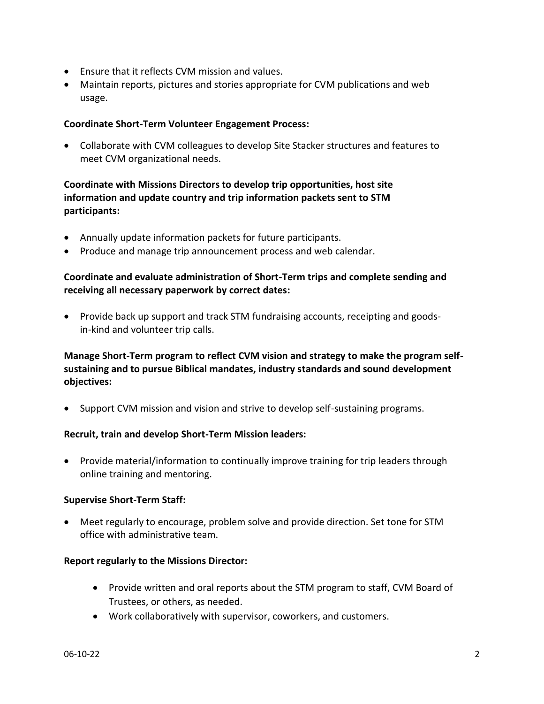- Ensure that it reflects CVM mission and values.
- Maintain reports, pictures and stories appropriate for CVM publications and web usage.

#### **Coordinate Short-Term Volunteer Engagement Process:**

• Collaborate with CVM colleagues to develop Site Stacker structures and features to meet CVM organizational needs.

## **Coordinate with Missions Directors to develop trip opportunities, host site information and update country and trip information packets sent to STM participants:**

- Annually update information packets for future participants.
- Produce and manage trip announcement process and web calendar.

### **Coordinate and evaluate administration of Short-Term trips and complete sending and receiving all necessary paperwork by correct dates:**

• Provide back up support and track STM fundraising accounts, receipting and goodsin-kind and volunteer trip calls.

# **Manage Short-Term program to reflect CVM vision and strategy to make the program selfsustaining and to pursue Biblical mandates, industry standards and sound development objectives:**

• Support CVM mission and vision and strive to develop self-sustaining programs.

#### **Recruit, train and develop Short-Term Mission leaders:**

• Provide material/information to continually improve training for trip leaders through online training and mentoring.

#### **Supervise Short-Term Staff:**

• Meet regularly to encourage, problem solve and provide direction. Set tone for STM office with administrative team.

#### **Report regularly to the Missions Director:**

- Provide written and oral reports about the STM program to staff, CVM Board of Trustees, or others, as needed.
- Work collaboratively with supervisor, coworkers, and customers.